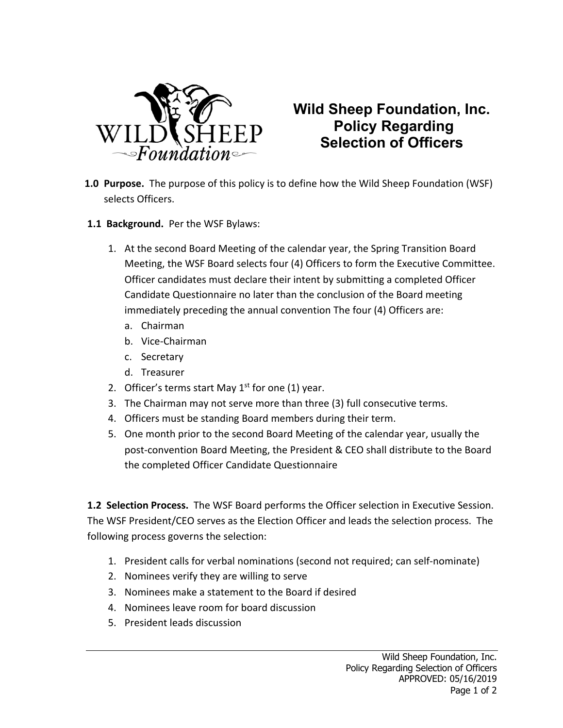

## **Wild Sheep Foundation, Inc. Policy Regarding Selection of Officers**

- **1.0 Purpose.** The purpose of this policy is to define how the Wild Sheep Foundation (WSF) selects Officers.
- **1.1 Background.** Per the WSF Bylaws:
	- 1. At the second Board Meeting of the calendar year, the Spring Transition Board Meeting, the WSF Board selects four (4) Officers to form the Executive Committee. Officer candidates must declare their intent by submitting a completed Officer Candidate Questionnaire no later than the conclusion of the Board meeting immediately preceding the annual convention The four (4) Officers are:
		- a. Chairman
		- b. Vice-Chairman
		- c. Secretary
		- d. Treasurer
	- 2. Officer's terms start May  $1<sup>st</sup>$  for one (1) year.
	- 3. The Chairman may not serve more than three (3) full consecutive terms.
	- 4. Officers must be standing Board members during their term.
	- 5. One month prior to the second Board Meeting of the calendar year, usually the post-convention Board Meeting, the President & CEO shall distribute to the Board the completed Officer Candidate Questionnaire

**1.2 Selection Process.** The WSF Board performs the Officer selection in Executive Session. The WSF President/CEO serves as the Election Officer and leads the selection process. The following process governs the selection:

- 1. President calls for verbal nominations (second not required; can self-nominate)
- 2. Nominees verify they are willing to serve
- 3. Nominees make a statement to the Board if desired
- 4. Nominees leave room for board discussion
- 5. President leads discussion